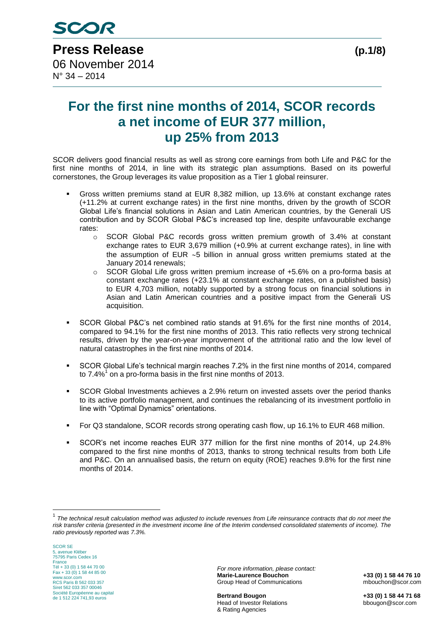## **For the first nine months of 2014, SCOR records a net income of EUR 377 million, up 25% from 2013**

SCOR delivers good financial results as well as strong core earnings from both Life and P&C for the first nine months of 2014, in line with its strategic plan assumptions. Based on its powerful cornerstones, the Group leverages its value proposition as a Tier 1 global reinsurer.

- Gross written premiums stand at EUR 8,382 million, up 13.6% at constant exchange rates (+11.2% at current exchange rates) in the first nine months, driven by the growth of SCOR Global Life's financial solutions in Asian and Latin American countries, by the Generali US contribution and by SCOR Global P&C's increased top line, despite unfavourable exchange rates:
	- o SCOR Global P&C records gross written premium growth of 3.4% at constant exchange rates to EUR 3,679 million (+0.9% at current exchange rates), in line with the assumption of EUR  $\sim$ 5 billion in annual gross written premiums stated at the January 2014 renewals;
	- $\circ$  SCOR Global Life gross written premium increase of +5.6% on a pro-forma basis at constant exchange rates (+23.1% at constant exchange rates, on a published basis) to EUR 4,703 million, notably supported by a strong focus on financial solutions in Asian and Latin American countries and a positive impact from the Generali US acquisition.
- SCOR Global P&C's net combined ratio stands at 91.6% for the first nine months of 2014, compared to 94.1% for the first nine months of 2013. This ratio reflects very strong technical results, driven by the year-on-year improvement of the attritional ratio and the low level of natural catastrophes in the first nine months of 2014.
- SCOR Global Life's technical margin reaches 7.2% in the first nine months of 2014, compared to 7.4% $1$  on a pro-forma basis in the first nine months of 2013.
- SCOR Global Investments achieves a 2.9% return on invested assets over the period thanks to its active portfolio management, and continues the rebalancing of its investment portfolio in line with "Optimal Dynamics" orientations.
- For Q3 standalone, SCOR records strong operating cash flow, up 16.1% to EUR 468 million.
- SCOR's net income reaches EUR 377 million for the first nine months of 2014, up 24.8% compared to the first nine months of 2013, thanks to strong technical results from both Life and P&C. On an annualised basis, the return on equity (ROE) reaches 9.8% for the first nine months of 2014.

<u>.</u>

*For more information, please contact:* **Marie-Laurence Bouchon +33 (0) 1 58 44 76 10** Group Head of Communications mbouchon@scor.com

**Bertrand Bougon +33 (0) 1 58 44 71 68** Head of Investor Relations bbougon@scor.com & Rating Agencies

<sup>1</sup> *The technical result calculation method was adjusted to include revenues from Life reinsurance contracts that do not meet the risk transfer criteria (presented in the investment income line of the Interim condensed consolidated statements of income). The ratio previously reported was 7.3%.*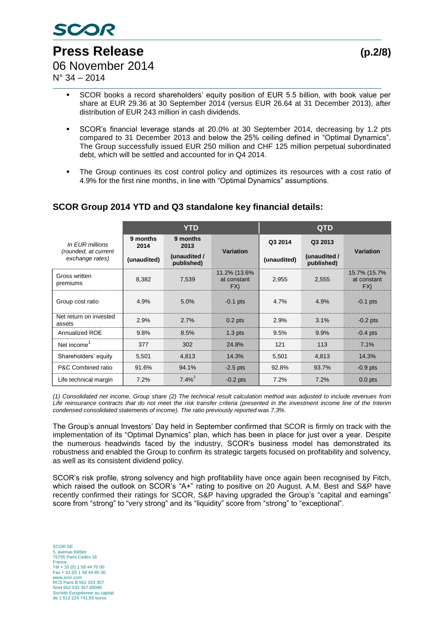

 $N^{\circ}$  34 – 2014

- SCOR books a record shareholders' equity position of EUR 5.5 billion, with book value per share at EUR 29.36 at 30 September 2014 (versus EUR 26.64 at 31 December 2013), after distribution of EUR 243 million in cash dividends.
- SCOR's financial leverage stands at 20.0% at 30 September 2014, decreasing by 1.2 pts compared to 31 December 2013 and below the 25% ceiling defined in "Optimal Dynamics". The Group successfully issued EUR 250 million and CHF 125 million perpetual subordinated debt, which will be settled and accounted for in Q4 2014.
- The Group continues its cost control policy and optimizes its resources with a cost ratio of 4.9% for the first nine months, in line with "Optimal Dynamics" assumptions.

#### **YTD QTD** *In EUR millions (rounded, at current exchange rates)* **9 months 2014 9 months 2013 Variation Q3 2014 Q3 2013 Variation (unaudited) (unaudited / published) (unaudited) (unaudited / published)** Gross written Pross written<br>premiums  $8,382$  7,539 11.2% (13.6% at constant FX) 2,955 2,555 15.7% (15.7% at constant FX) Group cost ratio  $(4.9\% + 5.0\% + 0.1)$  pts  $(4.7\% + 4.9\% + 0.1)$  pts Net return on invested<br>assets  $\frac{1}{2}$  assets 2.9% 2.7% 0.2 pts 2.9% 3.1% -0.2 pts Annualized ROE 9.8% 8.5% 1.3 pts 9.5% 9.9% -0.4 pts Net income<sup>1</sup> 377 302 24.8% 121 113 7.1% Shareholders' equity | 5,501 4,813 14.3% | 5,501 4,813 14.3% P&C Combined ratio 91.6% 94.1% -2.5 pts 92.8% 93.7% -0.9 pts Life technical margin  $\vert$  7.2%  $7.4\%$ <sup>2</sup> -0.2 pts 7.2% 7.2% 0.0 pts

### **SCOR Group 2014 YTD and Q3 standalone key financial details:**

*(1) Consolidated net income, Group share (2) The technical result calculation method was adjusted to include revenues from Life reinsurance contracts that do not meet the risk transfer criteria (presented in the investment income line of the Interim condensed consolidated statements of income). The ratio previously reported was 7.3%.*

The Group's annual Investors' Day held in September confirmed that SCOR is firmly on track with the implementation of its "Optimal Dynamics" plan, which has been in place for just over a year. Despite the numerous headwinds faced by the industry, SCOR's business model has demonstrated its robustness and enabled the Group to confirm its strategic targets focused on profitability and solvency, as well as its consistent dividend policy.

SCOR's risk profile, strong solvency and high profitability have once again been recognised by Fitch, which raised the outlook on SCOR's "A+" rating to positive on 20 August. A.M. Best and S&P have recently confirmed their ratings for SCOR, S&P having upgraded the Group's "capital and earnings" score from "strong" to "very strong" and its "liquidity" score from "strong" to "exceptional".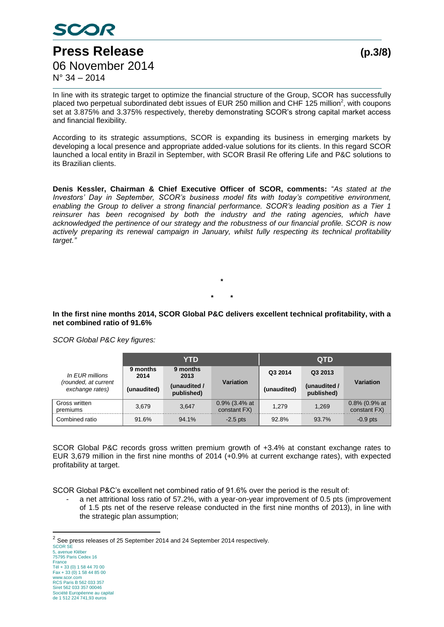

In line with its strategic target to optimize the financial structure of the Group, SCOR has successfully placed two perpetual subordinated debt issues of EUR 250 million and CHF 125 million<sup>2</sup>, with coupons set at 3.875% and 3.375% respectively, thereby demonstrating SCOR's strong capital market access and financial flexibility.

According to its strategic assumptions, SCOR is expanding its business in emerging markets by developing a local presence and appropriate added-value solutions for its clients. In this regard SCOR launched a local entity in Brazil in September, with SCOR Brasil Re offering Life and P&C solutions to its Brazilian clients.

**Denis Kessler, Chairman & Chief Executive Officer of SCOR, comments:** "*As stated at the Investors' Day in September, SCOR's business model fits with today's competitive environment, enabling the Group to deliver a strong financial performance. SCOR's leading position as a Tier 1* reinsurer has been recognised by both the industry and the rating agencies, which have *acknowledged the pertinence of our strategy and the robustness of our financial profile. SCOR is now actively preparing its renewal campaign in January, whilst fully respecting its technical profitability target."*

> **\* \* \***

**In the first nine months 2014, SCOR Global P&C delivers excellent technical profitability, with a net combined ratio of 91.6%**

*SCOR Global P&C key figures:*

|                                         |                  | YTD                        |                                  | <b>QTD</b>  |                            |                                  |  |
|-----------------------------------------|------------------|----------------------------|----------------------------------|-------------|----------------------------|----------------------------------|--|
| In EUR millions                         | 9 months<br>2014 | 9 months<br>2013           |                                  | Q3 2014     | Q3 2013                    | Variation                        |  |
| (rounded, at current<br>exchange rates) | (unaudited)      | (unaudited /<br>published) | <b>Variation</b>                 | (unaudited) | (unaudited /<br>published) |                                  |  |
| Gross written<br>premiums               | 3.679            | 3.647                      | $0.9\%$ (3.4% at<br>constant FX) | 1.279       | 1.269                      | $0.8\%$ (0.9% at<br>constant FX) |  |
| Combined ratio                          | 91.6%            | 94.1%                      | $-2.5$ pts                       | 92.8%       | 93.7%                      | $-0.9$ pts                       |  |

SCOR Global P&C records gross written premium growth of +3.4% at constant exchange rates to EUR 3,679 million in the first nine months of 2014 (+0.9% at current exchange rates), with expected profitability at target.

SCOR Global P&C's excellent net combined ratio of 91.6% over the period is the result of:

a net attritional loss ratio of 57.2%, with a year-on-year improvement of 0.5 pts (improvement of 1.5 pts net of the reserve release conducted in the first nine months of 2013), in line with the strategic plan assumption;

2 See press releases of 25 September 2014 and 24 September 2014 respectively.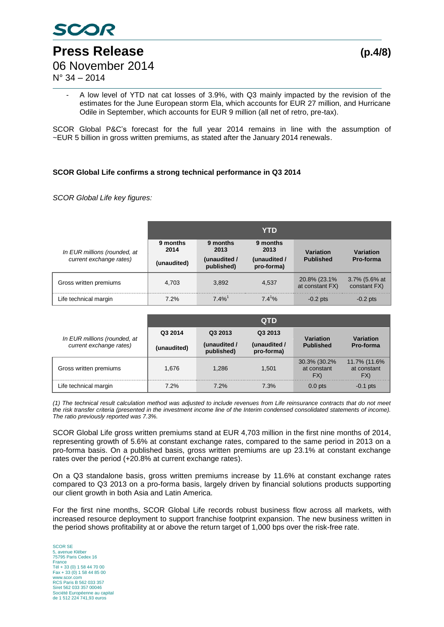

**Press Release (p.4/8)** 06 November 2014

N° 34 – 2014

- A low level of YTD nat cat losses of 3.9%, with Q3 mainly impacted by the revision of the estimates for the June European storm Ela, which accounts for EUR 27 million, and Hurricane Odile in September, which accounts for EUR 9 million (all net of retro, pre-tax).

SCOR Global P&C's forecast for the full year 2014 remains in line with the assumption of ~EUR 5 billion in gross written premiums, as stated after the January 2014 renewals.

#### **SCOR Global Life confirms a strong technical performance in Q3 2014**

*SCOR Global Life key figures:* 

|                                                         | YTD                             |                                                |                                                |                                  |                               |  |
|---------------------------------------------------------|---------------------------------|------------------------------------------------|------------------------------------------------|----------------------------------|-------------------------------|--|
| In EUR millions (rounded, at<br>current exchange rates) | 9 months<br>2014<br>(unaudited) | 9 months<br>2013<br>(unaudited /<br>published) | 9 months<br>2013<br>(unaudited /<br>pro-forma) | Variation<br><b>Published</b>    | Variation<br>Pro-forma        |  |
| Gross written premiums                                  | 4.703                           | 3.892                                          | 4.537                                          | 20.8% (23.1%)<br>at constant FX) | 3.7% (5.6% at<br>constant FX) |  |
| Life technical margin                                   | 7.2%                            | $7.4\%$ <sup>1</sup>                           | $7.4^{1}%$                                     | $-0.2$ pts                       | $-0.2$ pts                    |  |

|                              | <b>QTD</b>         |                            |                            |                                     |                                    |  |
|------------------------------|--------------------|----------------------------|----------------------------|-------------------------------------|------------------------------------|--|
| In EUR millions (rounded, at | Q3 2014<br>Q3 2013 |                            | Q3 2013                    | Variation                           | <b>Variation</b>                   |  |
| current exchange rates)      | (unaudited)        | (unaudited /<br>published) | (unaudited /<br>pro-forma) | <b>Published</b>                    | Pro-forma                          |  |
| Gross written premiums       | 1.676              | 1.286                      | 1.501                      | 30.3% (30.2%)<br>at constant<br>FX) | 11.7% (11.6%<br>at constant<br>FX) |  |
| Life technical margin        | 7.2%               | 7.2%                       | 7.3%                       | $0.0$ pts                           | $-0.1$ pts                         |  |

*(1) The technical result calculation method was adjusted to include revenues from Life reinsurance contracts that do not meet the risk transfer criteria (presented in the investment income line of the Interim condensed consolidated statements of income). The ratio previously reported was 7.3%.*

SCOR Global Life gross written premiums stand at EUR 4,703 million in the first nine months of 2014, representing growth of 5.6% at constant exchange rates, compared to the same period in 2013 on a pro-forma basis. On a published basis, gross written premiums are up 23.1% at constant exchange rates over the period (+20.8% at current exchange rates).

On a Q3 standalone basis, gross written premiums increase by 11.6% at constant exchange rates compared to Q3 2013 on a pro-forma basis, largely driven by financial solutions products supporting our client growth in both Asia and Latin America.

For the first nine months, SCOR Global Life records robust business flow across all markets, with increased resource deployment to support franchise footprint expansion. The new business written in the period shows profitability at or above the return target of 1,000 bps over the risk-free rate.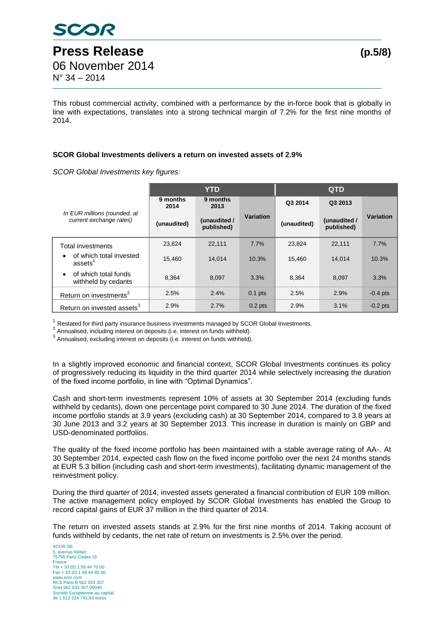This robust commercial activity, combined with a performance by the in-force book that is globally in line with expectations, translates into a strong technical margin of 7.2% for the first nine months of 2014.

#### **SCOR Global Investments delivers a return on invested assets of 2.9%**

*SCOR Global Investments key figures:*

|                                                          | <b>YTD</b>       |                            |           | <b>QTD</b>  |                            |            |
|----------------------------------------------------------|------------------|----------------------------|-----------|-------------|----------------------------|------------|
|                                                          | 9 months<br>2014 | 9 months<br>2013           |           | Q3 2014     | Q3 2013                    |            |
| In EUR millions (rounded, at<br>current exchange rates)  | (unaudited)      | (unaudited /<br>published) | Variation | (unaudited) | (unaudited /<br>published) | Variation  |
| <b>Total investments</b>                                 | 23.824           | 22,111                     | 7.7%      | 23.824      | 22,111                     | 7.7%       |
| of which total invested<br>$\bullet$<br>assets           | 15.460           | 14.014                     | 10.3%     | 15.460      | 14.014                     | 10.3%      |
| of which total funds<br>$\bullet$<br>withheld by cedants | 8.364            | 8.097                      | 3.3%      | 8.364       | 8.097                      | 3.3%       |
| Return on investments <sup>2</sup>                       | 2.5%             | 2.4%                       | $0.1$ pts | 2.5%        | 2.9%                       | $-0.4$ pts |
| Return on invested assets <sup>3</sup>                   | 2.9%             | 2.7%                       | $0.2$ pts | 2.9%        | 3.1%                       | $-0.2$ pts |

 $1$  Restated for third party insurance business investments managed by SCOR Global Investments.

<sup>2</sup> Annualised, including interest on deposits (i.e. interest on funds withheld).

<sup>3</sup> Annualised, excluding interest on deposits (i.e. interest on funds withheld).

In a slightly improved economic and financial context, SCOR Global Investments continues its policy of progressively reducing its liquidity in the third quarter 2014 while selectively increasing the duration of the fixed income portfolio, in line with "Optimal Dynamics".

Cash and short-term investments represent 10% of assets at 30 September 2014 (excluding funds withheld by cedants), down one percentage point compared to 30 June 2014. The duration of the fixed income portfolio stands at 3.9 years (excluding cash) at 30 September 2014, compared to 3.8 years at 30 June 2013 and 3.2 years at 30 September 2013. This increase in duration is mainly on GBP and USD-denominated portfolios.

The quality of the fixed income portfolio has been maintained with a stable average rating of AA-. At 30 September 2014, expected cash flow on the fixed income portfolio over the next 24 months stands at EUR 5.3 billion (including cash and short-term investments), facilitating dynamic management of the reinvestment policy.

During the third quarter of 2014, invested assets generated a financial contribution of EUR 109 million. The active management policy employed by SCOR Global Investments has enabled the Group to record capital gains of EUR 37 million in the third quarter of 2014.

The return on invested assets stands at 2.9% for the first nine months of 2014. Taking account of funds withheld by cedants, the net rate of return on investments is 2.5% over the period.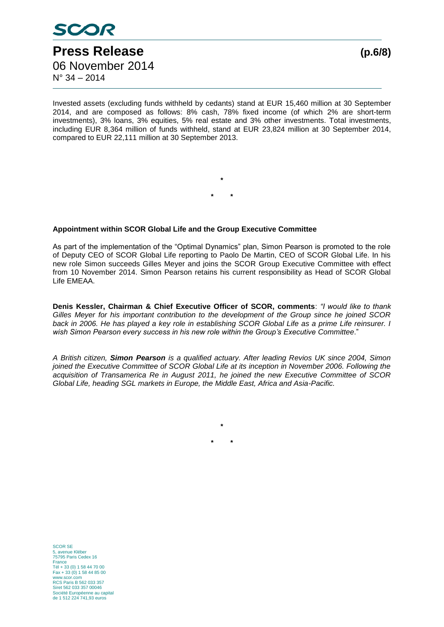

 $N^{\circ}$  34 – 2014

Invested assets (excluding funds withheld by cedants) stand at EUR 15,460 million at 30 September 2014, and are composed as follows: 8% cash, 78% fixed income (of which 2% are short-term investments), 3% loans, 3% equities, 5% real estate and 3% other investments. Total investments, including EUR 8,364 million of funds withheld, stand at EUR 23,824 million at 30 September 2014, compared to EUR 22,111 million at 30 September 2013.

> **\* \* \***

#### **Appointment within SCOR Global Life and the Group Executive Committee**

As part of the implementation of the "Optimal Dynamics" plan, Simon Pearson is promoted to the role of Deputy CEO of SCOR Global Life reporting to Paolo De Martin, CEO of SCOR Global Life. In his new role Simon succeeds Gilles Meyer and joins the SCOR Group Executive Committee with effect from 10 November 2014. Simon Pearson retains his current responsibility as Head of SCOR Global Life EMEAA.

**Denis Kessler, Chairman & Chief Executive Officer of SCOR, comments**: *"I would like to thank Gilles Meyer for his important contribution to the development of the Group since he joined SCOR back in 2006. He has played a key role in establishing SCOR Global Life as a prime Life reinsurer. I wish Simon Pearson every success in his new role within the Group's Executive Committee*."

*A British citizen, Simon Pearson is a qualified actuary. After leading Revios UK since 2004, Simon joined the Executive Committee of SCOR Global Life at its inception in November 2006. Following the acquisition of Transamerica Re in August 2011, he joined the new Executive Committee of SCOR Global Life, heading SGL markets in Europe, the Middle East, Africa and Asia-Pacific.* 

**\***

**\* \***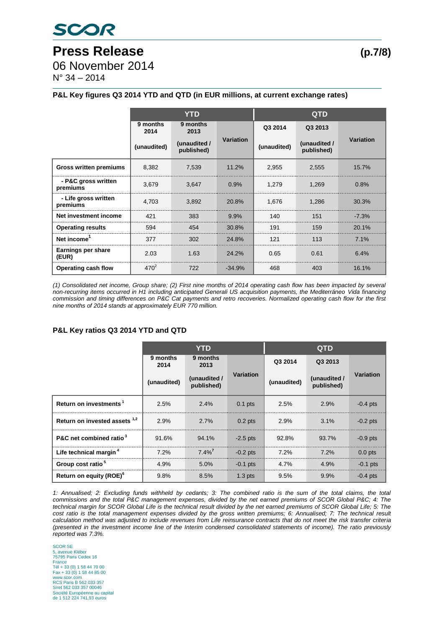# **Press Release (p.7/8)**

06 November 2014

N° 34 – 2014

### **P&L Key figures Q3 2014 YTD and QTD (in EUR millions, at current exchange rates)**

|                                  | <b>YTD</b>       |                            |                  | <b>QTD</b>  |                            |                  |  |
|----------------------------------|------------------|----------------------------|------------------|-------------|----------------------------|------------------|--|
|                                  | 9 months<br>2014 | 9 months<br>2013           |                  | Q3 2014     | Q3 2013                    |                  |  |
|                                  | (unaudited)      | (unaudited /<br>published) | <b>Variation</b> | (unaudited) | (unaudited /<br>published) | <b>Variation</b> |  |
| <b>Gross written premiums</b>    | 8,382            | 7,539                      | 11.2%            | 2,955       | 2,555                      | 15.7%            |  |
| - P&C gross written<br>premiums  | 3,679            | 3,647                      | 0.9%             | 1,279       | 1,269                      | 0.8%             |  |
| - Life gross written<br>premiums | 4,703            | 3,892                      | 20.8%            | 1,676       | 1,286                      | 30.3%            |  |
| Net investment income            | 421              | 383                        | 9.9%             | 140         | 151                        | $-7.3%$          |  |
| <b>Operating results</b>         | 594              | 454                        | 30.8%            | 191         | 159                        | 20.1%            |  |
| Net income <sup>1</sup>          | 377              | 302                        | 24.8%            | 121         | 113                        | 7.1%             |  |
| Earnings per share<br>(EUR)      | 2.03             | 1.63                       | 24.2%            | 0.65        | 0.61                       | 6.4%             |  |
| Operating cash flow              | $470^2$          | 722                        | $-34.9%$         | 468         | 403                        | 16.1%            |  |

*(1) Consolidated net income, Group share; (2) First nine months of 2014 operating cash flow has been impacted by several non-recurring items occurred in H1 including anticipated Generali US acquisition payments, the Mediterráneo Vida financing commission and timing differences on P&C Cat payments and retro recoveries. Normalized operating cash flow for the first nine months of 2014 stands at approximately EUR 770 million.*

#### **P&L Key ratios Q3 2014 YTD and QTD**

|                                          | <b>YTD</b>       |                            |                    | <b>QTD</b>  |                            |            |  |
|------------------------------------------|------------------|----------------------------|--------------------|-------------|----------------------------|------------|--|
|                                          | 9 months<br>2014 | 9 months<br>2013           |                    | Q3 2014     | Q3 2013                    |            |  |
|                                          | (unaudited)      | (unaudited /<br>published) | Variation          | (unaudited) | (unaudited /<br>published) | Variation  |  |
| Return on investments <sup>1</sup>       | 2.5%             | 2.4%                       | $0.1$ pts          | 2.5%        | 2.9%                       | $-0.4$ pts |  |
| Return on invested assets <sup>1,2</sup> | 2.9%             | 2.7%                       | $0.2$ pts          | 2.9%        | 3.1%                       | $-0.2$ pts |  |
| P&C net combined ratio <sup>3</sup>      | 91.6%            | 94.1%                      | $-2.5$ pts         | 92.8%       | 93.7%                      | $-0.9$ pts |  |
| Life technical margin <sup>4</sup>       | 7.2%             | $7.4\%$ <sup>7</sup>       | $-0.2$ pts         | 7.2%        | 7.2%                       | $0.0$ pts  |  |
| Group cost ratio <sup>5</sup>            | 4.9%             | 5.0%                       | $-0.1$ pts         | 4.7%        | 4.9%                       | $-0.1$ pts |  |
| Return on equity (ROE) <sup>6</sup>      | 9.8%             | 8.5%                       | 1.3 <sub>pts</sub> | 9.5%        | 9.9%                       | $-0.4$ pts |  |

*1: Annualised; 2: Excluding funds withheld by cedants; 3: The combined ratio is the sum of the total claims, the total commissions and the total P&C management expenses, divided by the net earned premiums of SCOR Global P&C; 4: The technical margin for SCOR Global Life is the technical result divided by the net earned premiums of SCOR Global Life; 5: The cost ratio is the total management expenses divided by the gross written premiums; 6: Annualised; 7: The technical result calculation method was adjusted to include revenues from Life reinsurance contracts that do not meet the risk transfer criteria (presented in the investment income line of the Interim condensed consolidated statements of income). The ratio previously reported was 7.3%.*